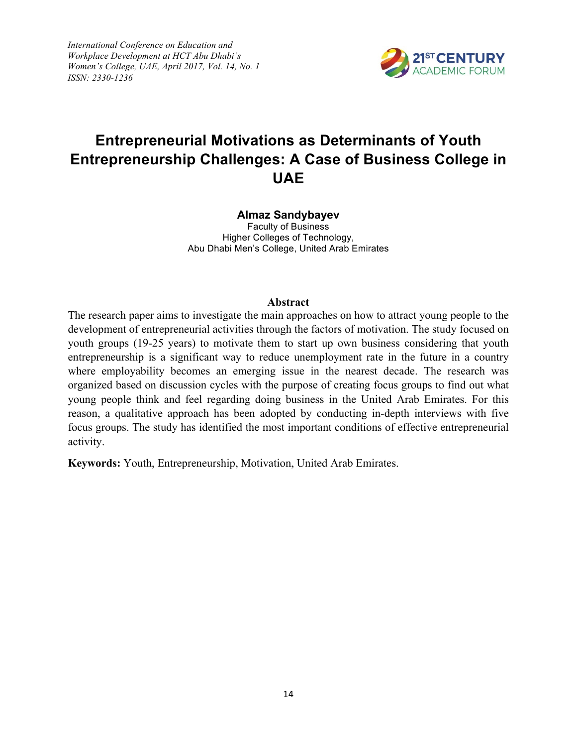*International Conference on Education and Workplace Development at HCT Abu Dhabi's Women's College, UAE, April 2017, Vol. 14, No. 1 ISSN: 2330-1236*



# *ISSN: 2330-1236* **Entrepreneurial Motivations as Determinants of Youth Entrepreneurship Challenges: A Case of Business College in UAE**

# **Almaz Sandybayev**

Faculty of Business Higher Colleges of Technology, Abu Dhabi Men's College, United Arab Emirates

#### **Abstract**

The research paper aims to investigate the main approaches on how to attract young people to the development of entrepreneurial activities through the factors of motivation. The study focused on youth groups (19-25 years) to motivate them to start up own business considering that youth entrepreneurship is a significant way to reduce unemployment rate in the future in a country where employability becomes an emerging issue in the nearest decade. The research was organized based on discussion cycles with the purpose of creating focus groups to find out what young people think and feel regarding doing business in the United Arab Emirates. For this reason, a qualitative approach has been adopted by conducting in-depth interviews with five focus groups. The study has identified the most important conditions of effective entrepreneurial activity.

**Keywords:** Youth, Entrepreneurship, Motivation, United Arab Emirates.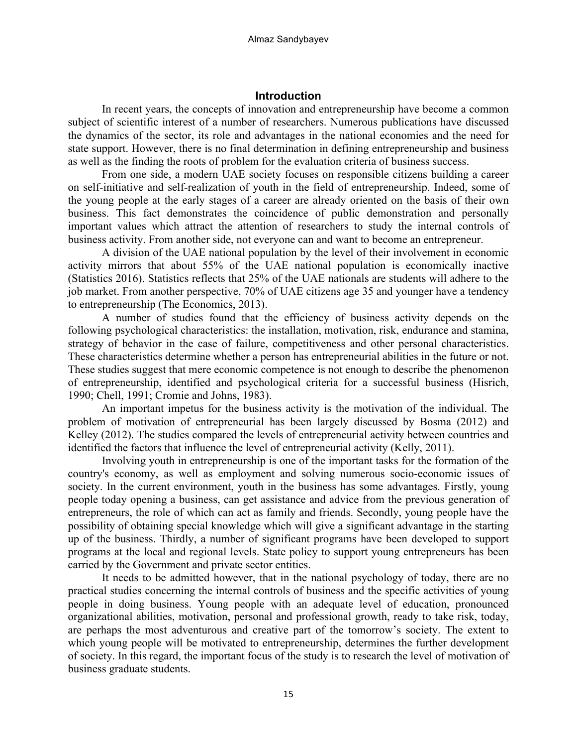### **Introduction**

In recent years, the concepts of innovation and entrepreneurship have become a common subject of scientific interest of a number of researchers. Numerous publications have discussed the dynamics of the sector, its role and advantages in the national economies and the need for state support. However, there is no final determination in defining entrepreneurship and business as well as the finding the roots of problem for the evaluation criteria of business success.

From one side, a modern UAE society focuses on responsible citizens building a career on self-initiative and self-realization of youth in the field of entrepreneurship. Indeed, some of the young people at the early stages of a career are already oriented on the basis of their own business. This fact demonstrates the coincidence of public demonstration and personally important values which attract the attention of researchers to study the internal controls of business activity. From another side, not everyone can and want to become an entrepreneur.

A division of the UAE national population by the level of their involvement in economic activity mirrors that about 55% of the UAE national population is economically inactive (Statistics 2016). Statistics reflects that 25% of the UAE nationals are students will adhere to the job market. From another perspective, 70% of UAE citizens age 35 and younger have a tendency to entrepreneurship (The Economics, 2013).

A number of studies found that the efficiency of business activity depends on the following psychological characteristics: the installation, motivation, risk, endurance and stamina, strategy of behavior in the case of failure, competitiveness and other personal characteristics. These characteristics determine whether a person has entrepreneurial abilities in the future or not. These studies suggest that mere economic competence is not enough to describe the phenomenon of entrepreneurship, identified and psychological criteria for a successful business (Hisrich, 1990; Chell, 1991; Cromie and Johns, 1983).

An important impetus for the business activity is the motivation of the individual. The problem of motivation of entrepreneurial has been largely discussed by Bosma (2012) and Kelley (2012). The studies compared the levels of entrepreneurial activity between countries and identified the factors that influence the level of entrepreneurial activity (Kelly, 2011).

Involving youth in entrepreneurship is one of the important tasks for the formation of the country's economy, as well as employment and solving numerous socio-economic issues of society. In the current environment, youth in the business has some advantages. Firstly, young people today opening a business, can get assistance and advice from the previous generation of entrepreneurs, the role of which can act as family and friends. Secondly, young people have the possibility of obtaining special knowledge which will give a significant advantage in the starting up of the business. Thirdly, a number of significant programs have been developed to support programs at the local and regional levels. State policy to support young entrepreneurs has been carried by the Government and private sector entities.

It needs to be admitted however, that in the national psychology of today, there are no practical studies concerning the internal controls of business and the specific activities of young people in doing business. Young people with an adequate level of education, pronounced organizational abilities, motivation, personal and professional growth, ready to take risk, today, are perhaps the most adventurous and creative part of the tomorrow's society. The extent to which young people will be motivated to entrepreneurship, determines the further development of society. In this regard, the important focus of the study is to research the level of motivation of business graduate students.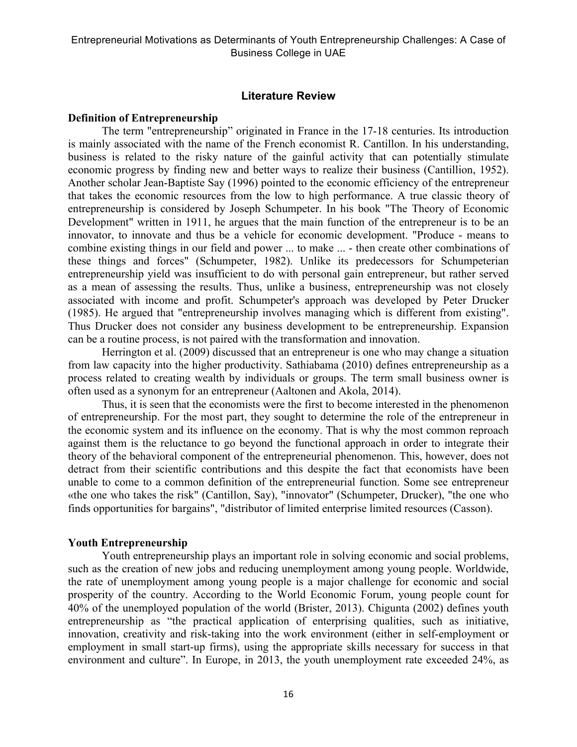### **Literature Review**

#### **Definition of Entrepreneurship**

The term "entrepreneurship" originated in France in the 17-18 centuries. Its introduction is mainly associated with the name of the French economist R. Cantillon. In his understanding, business is related to the risky nature of the gainful activity that can potentially stimulate economic progress by finding new and better ways to realize their business (Cantillion, 1952). Another scholar Jean-Baptiste Say (1996) pointed to the economic efficiency of the entrepreneur that takes the economic resources from the low to high performance. A true classic theory of entrepreneurship is considered by Joseph Schumpeter. In his book "The Theory of Economic Development" written in 1911, he argues that the main function of the entrepreneur is to be an innovator, to innovate and thus be a vehicle for economic development. "Produce - means to combine existing things in our field and power ... to make ... - then create other combinations of these things and forces" (Schumpeter, 1982). Unlike its predecessors for Schumpeterian entrepreneurship yield was insufficient to do with personal gain entrepreneur, but rather served as a mean of assessing the results. Thus, unlike a business, entrepreneurship was not closely associated with income and profit. Schumpeter's approach was developed by Peter Drucker (1985). He argued that "entrepreneurship involves managing which is different from existing". Thus Drucker does not consider any business development to be entrepreneurship. Expansion can be a routine process, is not paired with the transformation and innovation.

Herrington et al. (2009) discussed that an entrepreneur is one who may change a situation from law capacity into the higher productivity. Sathiabama (2010) defines entrepreneurship as a process related to creating wealth by individuals or groups. The term small business owner is often used as a synonym for an entrepreneur (Aaltonen and Akola, 2014).

Thus, it is seen that the economists were the first to become interested in the phenomenon of entrepreneurship. For the most part, they sought to determine the role of the entrepreneur in the economic system and its influence on the economy. That is why the most common reproach against them is the reluctance to go beyond the functional approach in order to integrate their theory of the behavioral component of the entrepreneurial phenomenon. This, however, does not detract from their scientific contributions and this despite the fact that economists have been unable to come to a common definition of the entrepreneurial function. Some see entrepreneur «the one who takes the risk" (Cantillon, Say), "innovator" (Schumpeter, Drucker), "the one who finds opportunities for bargains", "distributor of limited enterprise limited resources (Casson).

#### **Youth Entrepreneurship**

Youth entrepreneurship plays an important role in solving economic and social problems, such as the creation of new jobs and reducing unemployment among young people. Worldwide, the rate of unemployment among young people is a major challenge for economic and social prosperity of the country. According to the World Economic Forum, young people count for 40% of the unemployed population of the world (Brister, 2013). Chigunta (2002) defines youth entrepreneurship as "the practical application of enterprising qualities, such as initiative, innovation, creativity and risk-taking into the work environment (either in self-employment or employment in small start-up firms), using the appropriate skills necessary for success in that environment and culture". In Europe, in 2013, the youth unemployment rate exceeded 24%, as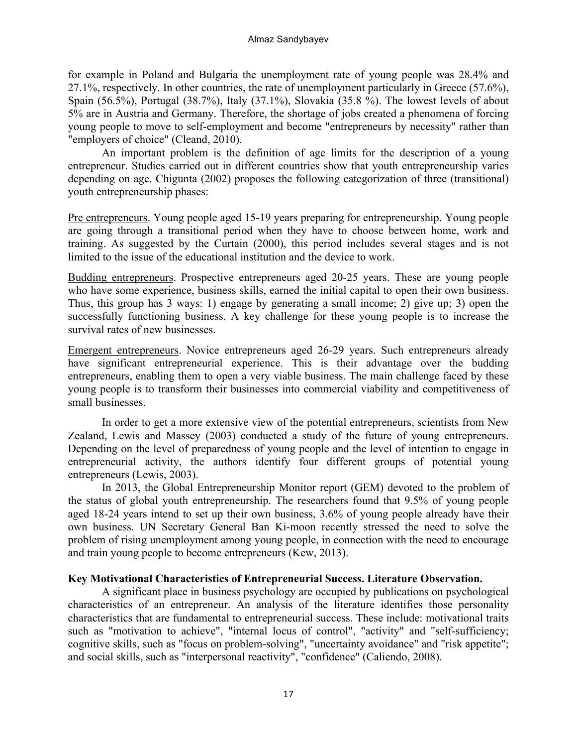for example in Poland and Bulgaria the unemployment rate of young people was 28.4% and 27.1%, respectively. In other countries, the rate of unemployment particularly in Greece (57.6%), Spain (56.5%), Portugal (38.7%), Italy (37.1%), Slovakia (35.8 %). The lowest levels of about 5% are in Austria and Germany. Therefore, the shortage of jobs created a phenomena of forcing young people to move to self-employment and become "entrepreneurs by necessity" rather than "employers of choice" (Cleand, 2010).

An important problem is the definition of age limits for the description of a young entrepreneur. Studies carried out in different countries show that youth entrepreneurship varies depending on age. Chigunta (2002) proposes the following categorization of three (transitional) youth entrepreneurship phases:

Pre entrepreneurs. Young people aged 15-19 years preparing for entrepreneurship. Young people are going through a transitional period when they have to choose between home, work and training. As suggested by the Curtain (2000), this period includes several stages and is not limited to the issue of the educational institution and the device to work.

Budding entrepreneurs. Prospective entrepreneurs aged 20-25 years. These are young people who have some experience, business skills, earned the initial capital to open their own business. Thus, this group has 3 ways: 1) engage by generating a small income; 2) give up; 3) open the successfully functioning business. A key challenge for these young people is to increase the survival rates of new businesses.

Emergent entrepreneurs. Novice entrepreneurs aged 26-29 years. Such entrepreneurs already have significant entrepreneurial experience. This is their advantage over the budding entrepreneurs, enabling them to open a very viable business. The main challenge faced by these young people is to transform their businesses into commercial viability and competitiveness of small businesses.

In order to get a more extensive view of the potential entrepreneurs, scientists from New Zealand, Lewis and Massey (2003) conducted a study of the future of young entrepreneurs. Depending on the level of preparedness of young people and the level of intention to engage in entrepreneurial activity, the authors identify four different groups of potential young entrepreneurs (Lewis, 2003).

In 2013, the Global Entrepreneurship Monitor report (GEM) devoted to the problem of the status of global youth entrepreneurship. The researchers found that 9.5% of young people aged 18-24 years intend to set up their own business, 3.6% of young people already have their own business. UN Secretary General Ban Ki-moon recently stressed the need to solve the problem of rising unemployment among young people, in connection with the need to encourage and train young people to become entrepreneurs (Kew, 2013).

# **Key Motivational Characteristics of Entrepreneurial Success. Literature Observation.**

A significant place in business psychology are occupied by publications on psychological characteristics of an entrepreneur. An analysis of the literature identifies those personality characteristics that are fundamental to entrepreneurial success. These include: motivational traits such as "motivation to achieve", "internal locus of control", "activity" and "self-sufficiency; cognitive skills, such as "focus on problem-solving", "uncertainty avoidance" and "risk appetite"; and social skills, such as "interpersonal reactivity", "confidence" (Caliendo, 2008).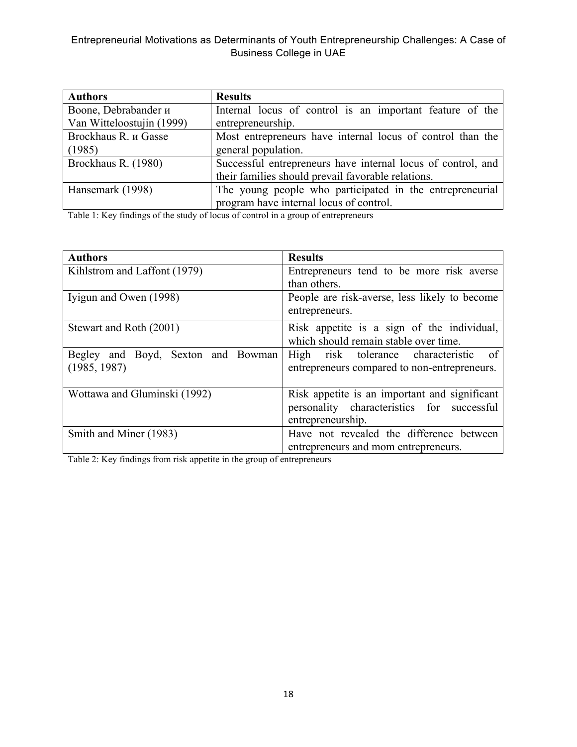| <b>Authors</b>            | <b>Results</b>                                               |  |
|---------------------------|--------------------------------------------------------------|--|
| Boone, Debrabander и      | Internal locus of control is an important feature of the     |  |
| Van Witteloostujin (1999) | entrepreneurship.                                            |  |
| Brockhaus R. и Gasse      | Most entrepreneurs have internal locus of control than the   |  |
| (1985)                    | general population.                                          |  |
| Brockhaus R. (1980)       | Successful entrepreneurs have internal locus of control, and |  |
|                           | their families should prevail favorable relations.           |  |
| Hansemark (1998)          | The young people who participated in the entrepreneurial     |  |
|                           | program have internal locus of control.                      |  |

Table 1: Key findings of the study of locus of control in a group of entrepreneurs

| <b>Authors</b>                     | <b>Results</b>                                |
|------------------------------------|-----------------------------------------------|
| Kihlstrom and Laffont (1979)       | Entrepreneurs tend to be more risk averse     |
|                                    | than others.                                  |
| Iyigun and Owen (1998)             | People are risk-averse, less likely to become |
|                                    | entrepreneurs.                                |
| Stewart and Roth (2001)            | Risk appetite is a sign of the individual,    |
|                                    | which should remain stable over time.         |
| Begley and Boyd, Sexton and Bowman | High risk tolerance characteristic of         |
| (1985, 1987)                       | entrepreneurs compared to non-entrepreneurs.  |
|                                    |                                               |
| Wottawa and Gluminski (1992)       | Risk appetite is an important and significant |
|                                    | personality characteristics for successful    |
|                                    | entrepreneurship.                             |
| Smith and Miner (1983)             | Have not revealed the difference between      |
|                                    | entrepreneurs and mom entrepreneurs.          |

Table 2: Key findings from risk appetite in the group of entrepreneurs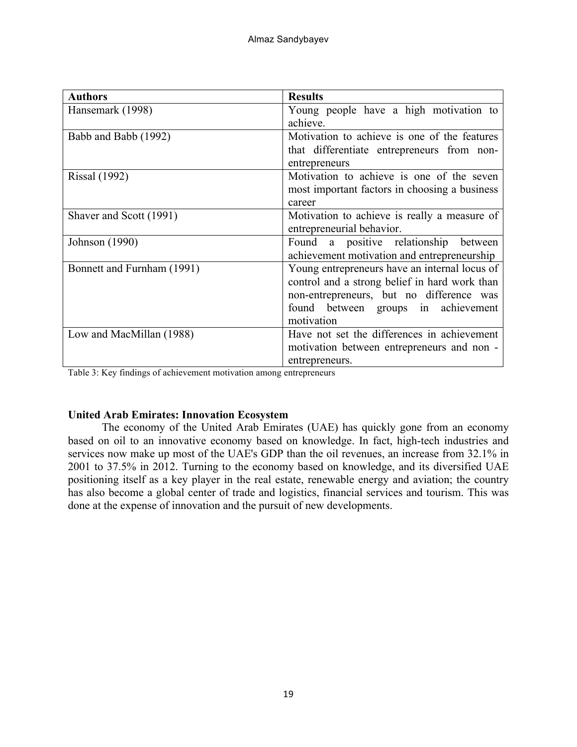| <b>Authors</b>             | <b>Results</b>                                                                                                                                                                                  |
|----------------------------|-------------------------------------------------------------------------------------------------------------------------------------------------------------------------------------------------|
| Hansemark (1998)           | Young people have a high motivation to<br>achieve.                                                                                                                                              |
| Babb and Babb (1992)       | Motivation to achieve is one of the features<br>that differentiate entrepreneurs from non-<br>entrepreneurs                                                                                     |
| <b>Rissal</b> (1992)       | Motivation to achieve is one of the seven<br>most important factors in choosing a business<br>career                                                                                            |
| Shaver and Scott (1991)    | Motivation to achieve is really a measure of<br>entrepreneurial behavior.                                                                                                                       |
| Johnson (1990)             | Found a positive relationship between<br>achievement motivation and entrepreneurship                                                                                                            |
| Bonnett and Furnham (1991) | Young entrepreneurs have an internal locus of<br>control and a strong belief in hard work than<br>non-entrepreneurs, but no difference was<br>found between groups in achievement<br>motivation |
| Low and MacMillan (1988)   | Have not set the differences in achievement<br>motivation between entrepreneurs and non -<br>entrepreneurs.                                                                                     |

Table 3: Key findings of achievement motivation among entrepreneurs

### **United Arab Emirates: Innovation Ecosystem**

The economy of the United Arab Emirates (UAE) has quickly gone from an economy based on oil to an innovative economy based on knowledge. In fact, high-tech industries and services now make up most of the UAE's GDP than the oil revenues, an increase from 32.1% in 2001 to 37.5% in 2012. Turning to the economy based on knowledge, and its diversified UAE positioning itself as a key player in the real estate, renewable energy and aviation; the country has also become a global center of trade and logistics, financial services and tourism. This was done at the expense of innovation and the pursuit of new developments.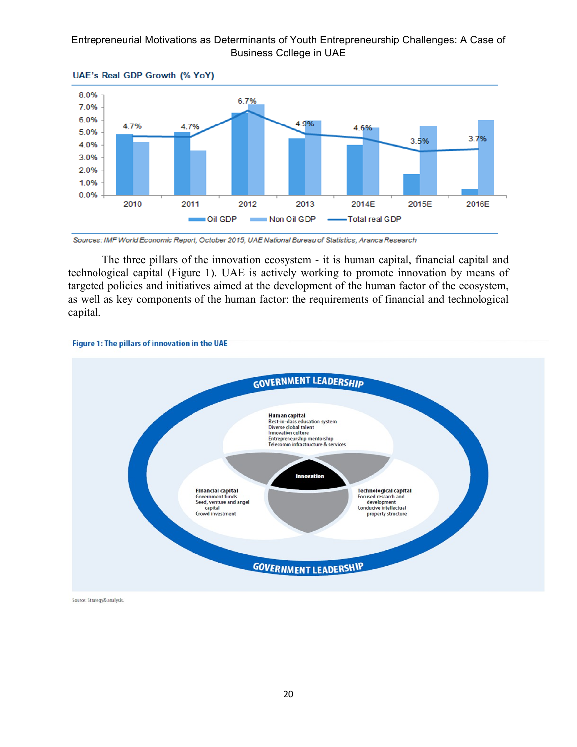

UAE's Real GDP Growth (% YoY)



The three pillars of the innovation ecosystem - it is human capital, financial capital and technological capital (Figure 1). UAE is actively working to promote innovation by means of targeted policies and initiatives aimed at the development of the human factor of the ecosystem, as well as key components of the human factor: the requirements of financial and technological capital.



Source: Strategy& analysis.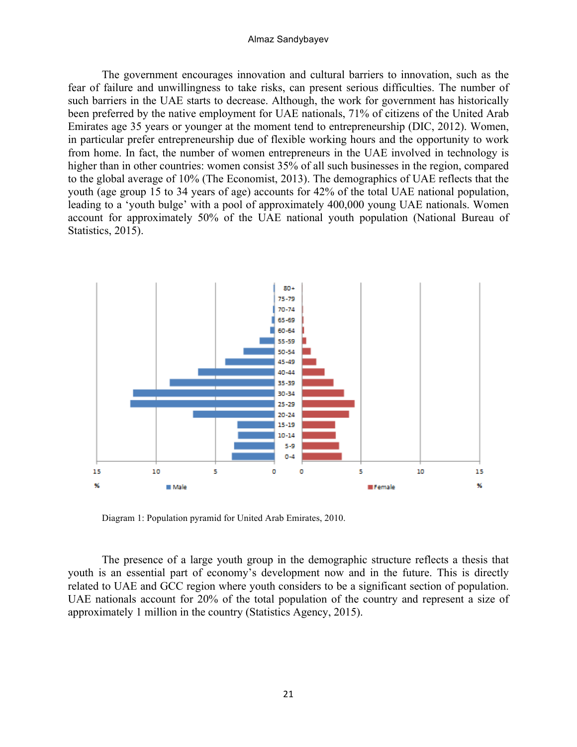#### Almaz Sandybayev

The government encourages innovation and cultural barriers to innovation, such as the fear of failure and unwillingness to take risks, can present serious difficulties. The number of such barriers in the UAE starts to decrease. Although, the work for government has historically been preferred by the native employment for UAE nationals, 71% of citizens of the United Arab Emirates age 35 years or younger at the moment tend to entrepreneurship (DIC, 2012). Women, in particular prefer entrepreneurship due of flexible working hours and the opportunity to work from home. In fact, the number of women entrepreneurs in the UAE involved in technology is higher than in other countries: women consist 35% of all such businesses in the region, compared to the global average of 10% (The Economist, 2013). The demographics of UAE reflects that the youth (age group 15 to 34 years of age) accounts for 42% of the total UAE national population, leading to a 'youth bulge' with a pool of approximately 400,000 young UAE nationals. Women account for approximately 50% of the UAE national youth population (National Bureau of Statistics, 2015).



Diagram 1: Population pyramid for United Arab Emirates, 2010.

The presence of a large youth group in the demographic structure reflects a thesis that youth is an essential part of economy's development now and in the future. This is directly related to UAE and GCC region where youth considers to be a significant section of population. UAE nationals account for 20% of the total population of the country and represent a size of approximately 1 million in the country (Statistics Agency, 2015).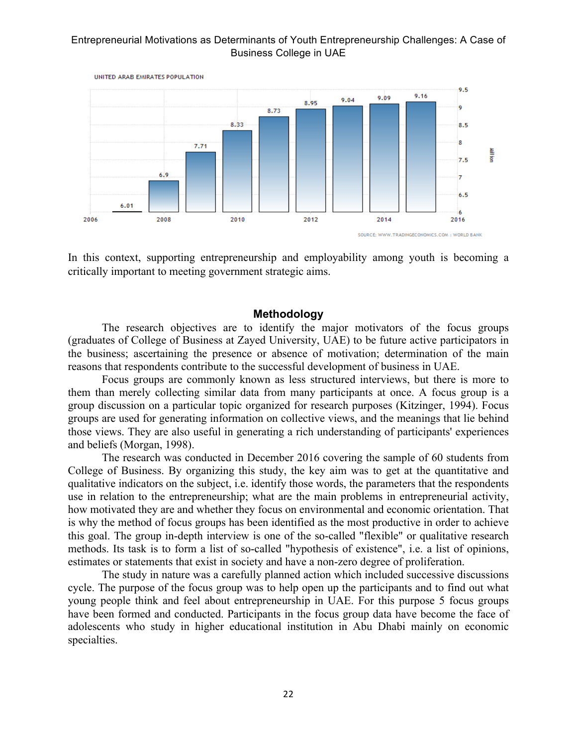

In this context, supporting entrepreneurship and employability among youth is becoming a critically important to meeting government strategic aims.

### **Methodology**

The research objectives are to identify the major motivators of the focus groups (graduates of College of Business at Zayed University, UAE) to be future active participators in the business; ascertaining the presence or absence of motivation; determination of the main reasons that respondents contribute to the successful development of business in UAE.

Focus groups are commonly known as less structured interviews, but there is more to them than merely collecting similar data from many participants at once. A focus group is a group discussion on a particular topic organized for research purposes (Kitzinger, 1994). Focus groups are used for generating information on collective views, and the meanings that lie behind those views. They are also useful in generating a rich understanding of participants' experiences and beliefs (Morgan, 1998).

The research was conducted in December 2016 covering the sample of 60 students from College of Business. By organizing this study, the key aim was to get at the quantitative and qualitative indicators on the subject, i.e. identify those words, the parameters that the respondents use in relation to the entrepreneurship; what are the main problems in entrepreneurial activity, how motivated they are and whether they focus on environmental and economic orientation. That is why the method of focus groups has been identified as the most productive in order to achieve this goal. The group in-depth interview is one of the so-called "flexible" or qualitative research methods. Its task is to form a list of so-called "hypothesis of existence", i.e. a list of opinions, estimates or statements that exist in society and have a non-zero degree of proliferation.

The study in nature was a carefully planned action which included successive discussions cycle. The purpose of the focus group was to help open up the participants and to find out what young people think and feel about entrepreneurship in UAE. For this purpose 5 focus groups have been formed and conducted. Participants in the focus group data have become the face of adolescents who study in higher educational institution in Abu Dhabi mainly on economic specialties.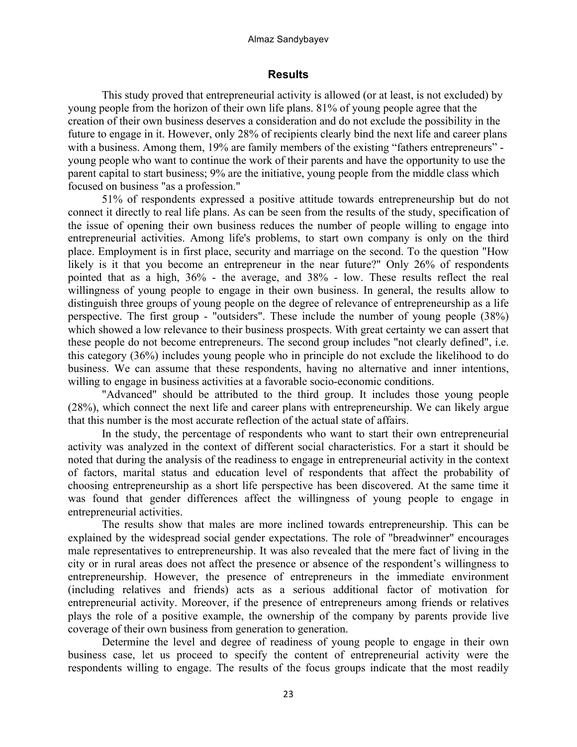#### Almaz Sandybayev

# **Results**

This study proved that entrepreneurial activity is allowed (or at least, is not excluded) by young people from the horizon of their own life plans. 81% of young people agree that the creation of their own business deserves a consideration and do not exclude the possibility in the future to engage in it. However, only 28% of recipients clearly bind the next life and career plans with a business. Among them, 19% are family members of the existing "fathers entrepreneurs" young people who want to continue the work of their parents and have the opportunity to use the parent capital to start business; 9% are the initiative, young people from the middle class which focused on business "as a profession."

51% of respondents expressed a positive attitude towards entrepreneurship but do not connect it directly to real life plans. As can be seen from the results of the study, specification of the issue of opening their own business reduces the number of people willing to engage into entrepreneurial activities. Among life's problems, to start own company is only on the third place. Employment is in first place, security and marriage on the second. To the question "How likely is it that you become an entrepreneur in the near future?" Only 26% of respondents pointed that as a high, 36% - the average, and 38% - low. These results reflect the real willingness of young people to engage in their own business. In general, the results allow to distinguish three groups of young people on the degree of relevance of entrepreneurship as a life perspective. The first group - "outsiders". These include the number of young people (38%) which showed a low relevance to their business prospects. With great certainty we can assert that these people do not become entrepreneurs. The second group includes "not clearly defined", i.e. this category (36%) includes young people who in principle do not exclude the likelihood to do business. We can assume that these respondents, having no alternative and inner intentions, willing to engage in business activities at a favorable socio-economic conditions.

"Advanced" should be attributed to the third group. It includes those young people (28%), which connect the next life and career plans with entrepreneurship. We can likely argue that this number is the most accurate reflection of the actual state of affairs.

In the study, the percentage of respondents who want to start their own entrepreneurial activity was analyzed in the context of different social characteristics. For a start it should be noted that during the analysis of the readiness to engage in entrepreneurial activity in the context of factors, marital status and education level of respondents that affect the probability of choosing entrepreneurship as a short life perspective has been discovered. At the same time it was found that gender differences affect the willingness of young people to engage in entrepreneurial activities.

The results show that males are more inclined towards entrepreneurship. This can be explained by the widespread social gender expectations. The role of "breadwinner" encourages male representatives to entrepreneurship. It was also revealed that the mere fact of living in the city or in rural areas does not affect the presence or absence of the respondent's willingness to entrepreneurship. However, the presence of entrepreneurs in the immediate environment (including relatives and friends) acts as a serious additional factor of motivation for entrepreneurial activity. Moreover, if the presence of entrepreneurs among friends or relatives plays the role of a positive example, the ownership of the company by parents provide live coverage of their own business from generation to generation.

Determine the level and degree of readiness of young people to engage in their own business case, let us proceed to specify the content of entrepreneurial activity were the respondents willing to engage. The results of the focus groups indicate that the most readily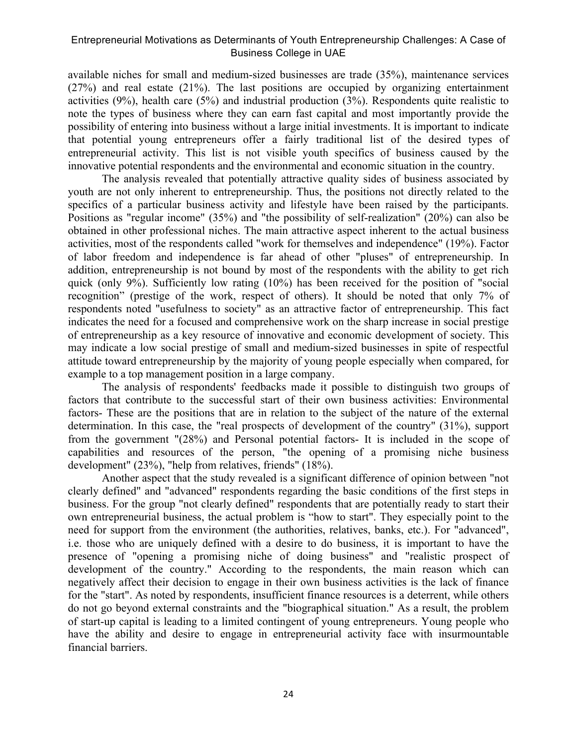available niches for small and medium-sized businesses are trade (35%), maintenance services (27%) and real estate (21%). The last positions are occupied by organizing entertainment activities (9%), health care (5%) and industrial production (3%). Respondents quite realistic to note the types of business where they can earn fast capital and most importantly provide the possibility of entering into business without a large initial investments. It is important to indicate that potential young entrepreneurs offer a fairly traditional list of the desired types of entrepreneurial activity. This list is not visible youth specifics of business caused by the innovative potential respondents and the environmental and economic situation in the country.

The analysis revealed that potentially attractive quality sides of business associated by youth are not only inherent to entrepreneurship. Thus, the positions not directly related to the specifics of a particular business activity and lifestyle have been raised by the participants. Positions as "regular income" (35%) and "the possibility of self-realization" (20%) can also be obtained in other professional niches. The main attractive aspect inherent to the actual business activities, most of the respondents called "work for themselves and independence" (19%). Factor of labor freedom and independence is far ahead of other "pluses" of entrepreneurship. In addition, entrepreneurship is not bound by most of the respondents with the ability to get rich quick (only 9%). Sufficiently low rating (10%) has been received for the position of "social recognition" (prestige of the work, respect of others). It should be noted that only 7% of respondents noted "usefulness to society" as an attractive factor of entrepreneurship. This fact indicates the need for a focused and comprehensive work on the sharp increase in social prestige of entrepreneurship as a key resource of innovative and economic development of society. This may indicate a low social prestige of small and medium-sized businesses in spite of respectful attitude toward entrepreneurship by the majority of young people especially when compared, for example to a top management position in a large company.

The analysis of respondents' feedbacks made it possible to distinguish two groups of factors that contribute to the successful start of their own business activities: Environmental factors- These are the positions that are in relation to the subject of the nature of the external determination. In this case, the "real prospects of development of the country" (31%), support from the government "(28%) and Personal potential factors- It is included in the scope of capabilities and resources of the person, "the opening of a promising niche business development" (23%), "help from relatives, friends" (18%).

Another aspect that the study revealed is a significant difference of opinion between "not clearly defined" and "advanced" respondents regarding the basic conditions of the first steps in business. For the group "not clearly defined" respondents that are potentially ready to start their own entrepreneurial business, the actual problem is "how to start". They especially point to the need for support from the environment (the authorities, relatives, banks, etc.). For "advanced", i.e. those who are uniquely defined with a desire to do business, it is important to have the presence of "opening a promising niche of doing business" and "realistic prospect of development of the country." According to the respondents, the main reason which can negatively affect their decision to engage in their own business activities is the lack of finance for the "start". As noted by respondents, insufficient finance resources is a deterrent, while others do not go beyond external constraints and the "biographical situation." As a result, the problem of start-up capital is leading to a limited contingent of young entrepreneurs. Young people who have the ability and desire to engage in entrepreneurial activity face with insurmountable financial barriers.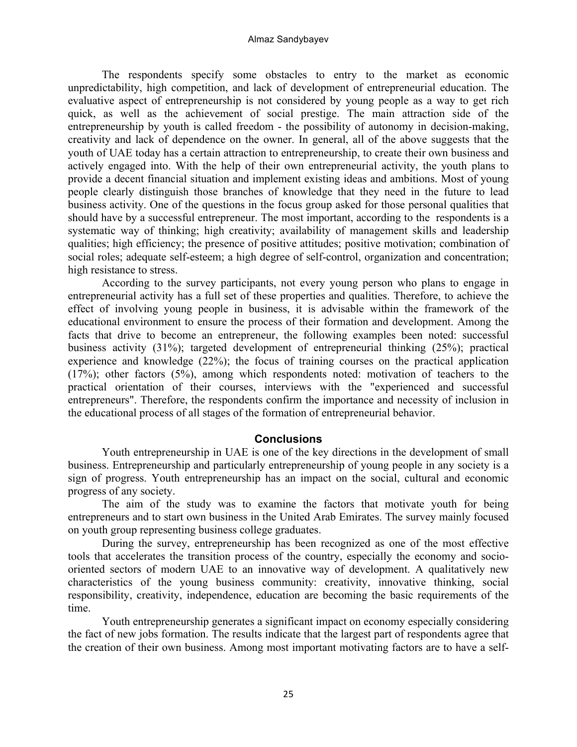#### Almaz Sandybayev

The respondents specify some obstacles to entry to the market as economic unpredictability, high competition, and lack of development of entrepreneurial education. The evaluative aspect of entrepreneurship is not considered by young people as a way to get rich quick, as well as the achievement of social prestige. The main attraction side of the entrepreneurship by youth is called freedom - the possibility of autonomy in decision-making, creativity and lack of dependence on the owner. In general, all of the above suggests that the youth of UAE today has a certain attraction to entrepreneurship, to create their own business and actively engaged into. With the help of their own entrepreneurial activity, the youth plans to provide a decent financial situation and implement existing ideas and ambitions. Most of young people clearly distinguish those branches of knowledge that they need in the future to lead business activity. One of the questions in the focus group asked for those personal qualities that should have by a successful entrepreneur. The most important, according to the respondents is a systematic way of thinking; high creativity; availability of management skills and leadership qualities; high efficiency; the presence of positive attitudes; positive motivation; combination of social roles; adequate self-esteem; a high degree of self-control, organization and concentration; high resistance to stress.

According to the survey participants, not every young person who plans to engage in entrepreneurial activity has a full set of these properties and qualities. Therefore, to achieve the effect of involving young people in business, it is advisable within the framework of the educational environment to ensure the process of their formation and development. Among the facts that drive to become an entrepreneur, the following examples been noted: successful business activity (31%); targeted development of entrepreneurial thinking (25%); practical experience and knowledge (22%); the focus of training courses on the practical application (17%); other factors (5%), among which respondents noted: motivation of teachers to the practical orientation of their courses, interviews with the "experienced and successful entrepreneurs". Therefore, the respondents confirm the importance and necessity of inclusion in the educational process of all stages of the formation of entrepreneurial behavior.

### **Conclusions**

Youth entrepreneurship in UAE is one of the key directions in the development of small business. Entrepreneurship and particularly entrepreneurship of young people in any society is a sign of progress. Youth entrepreneurship has an impact on the social, cultural and economic progress of any society.

The aim of the study was to examine the factors that motivate youth for being entrepreneurs and to start own business in the United Arab Emirates. The survey mainly focused on youth group representing business college graduates.

During the survey, entrepreneurship has been recognized as one of the most effective tools that accelerates the transition process of the country, especially the economy and sociooriented sectors of modern UAE to an innovative way of development. A qualitatively new characteristics of the young business community: creativity, innovative thinking, social responsibility, creativity, independence, education are becoming the basic requirements of the time.

Youth entrepreneurship generates a significant impact on economy especially considering the fact of new jobs formation. The results indicate that the largest part of respondents agree that the creation of their own business. Among most important motivating factors are to have a self-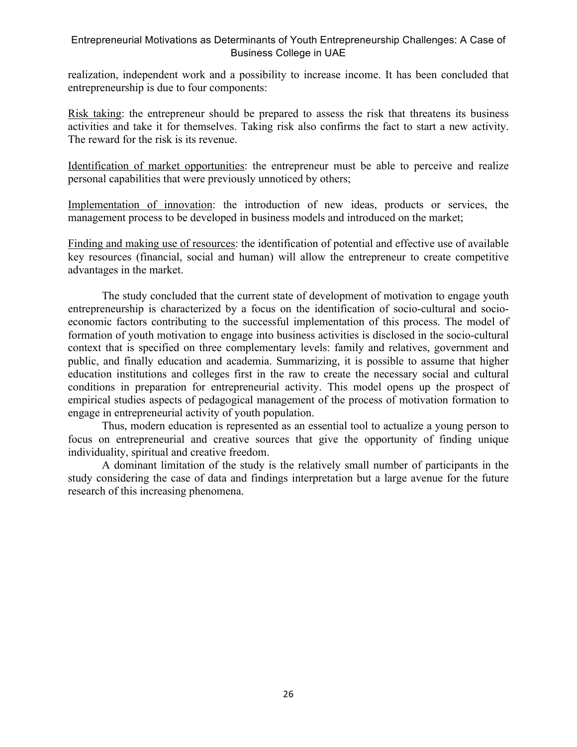realization, independent work and a possibility to increase income. It has been concluded that entrepreneurship is due to four components:

Risk taking: the entrepreneur should be prepared to assess the risk that threatens its business activities and take it for themselves. Taking risk also confirms the fact to start a new activity. The reward for the risk is its revenue.

Identification of market opportunities: the entrepreneur must be able to perceive and realize personal capabilities that were previously unnoticed by others;

Implementation of innovation: the introduction of new ideas, products or services, the management process to be developed in business models and introduced on the market;

Finding and making use of resources: the identification of potential and effective use of available key resources (financial, social and human) will allow the entrepreneur to create competitive advantages in the market.

The study concluded that the current state of development of motivation to engage youth entrepreneurship is characterized by a focus on the identification of socio-cultural and socioeconomic factors contributing to the successful implementation of this process. The model of formation of youth motivation to engage into business activities is disclosed in the socio-cultural context that is specified on three complementary levels: family and relatives, government and public, and finally education and academia. Summarizing, it is possible to assume that higher education institutions and colleges first in the raw to create the necessary social and cultural conditions in preparation for entrepreneurial activity. This model opens up the prospect of empirical studies aspects of pedagogical management of the process of motivation formation to engage in entrepreneurial activity of youth population.

Thus, modern education is represented as an essential tool to actualize a young person to focus on entrepreneurial and creative sources that give the opportunity of finding unique individuality, spiritual and creative freedom.

A dominant limitation of the study is the relatively small number of participants in the study considering the case of data and findings interpretation but a large avenue for the future research of this increasing phenomena.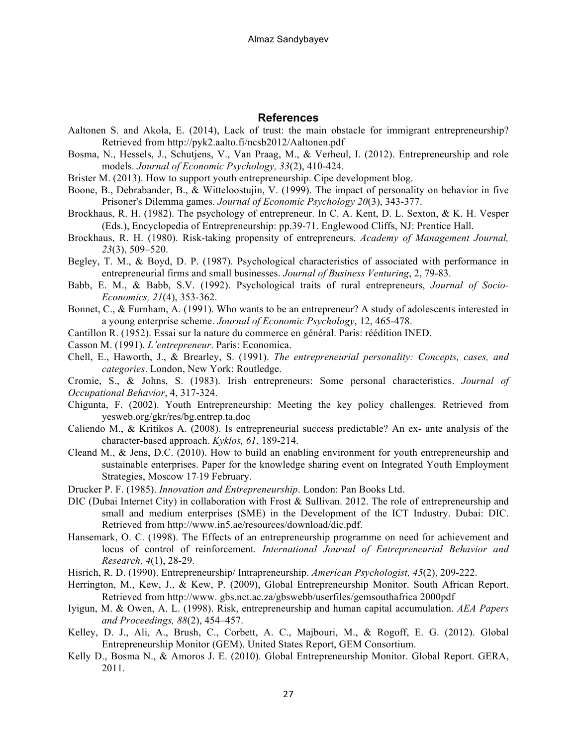#### **References**

- Aaltonen S. and Akola, E. (2014), Lack of trust: the main obstacle for immigrant entrepreneurship? Retrieved from http://pyk2.aalto.fi/ncsb2012/Aaltonen.pdf
- Bosma, N., Hessels, J., Schutjens, V., Van Praag, M., & Verheul, I. (2012). Entrepreneurship and role models. *Journal of Economic Psychology, 33*(2), 410-424.
- Brister M. (2013). How to support youth entrepreneurship. Cipe development blog.
- Boone, B., Debrabander, B., & Witteloostujin, V. (1999). The impact of personality on behavior in five Prisoner's Dilemma games. *Journal of Economic Psychology 20*(3), 343-377.
- Brockhaus, R. H. (1982). The psychology of entrepreneur. In C. A. Kent, D. L. Sexton, & K. H. Vesper (Eds.), Encyclopedia of Entrepreneurship: pp.39-71. Englewood Cliffs, NJ: Prentice Hall.
- Brockhaus, R. H. (1980). Risk-taking propensity of entrepreneurs. *Academy of Management Journal, 23*(3), 509–520.
- Begley, T. M., & Boyd, D. P. (1987). Psychological characteristics of associated with performance in entrepreneurial firms and small businesses. *Journal of Business Venturing*, 2, 79-83.
- Babb, E. M., & Babb, S.V. (1992). Psychological traits of rural entrepreneurs, *Journal of Socio-Economics, 21*(4), 353-362.
- Bonnet, C., & Furnham, A. (1991). Who wants to be an entrepreneur? A study of adolescents interested in a young enterprise scheme. *Journal of Economic Psychology*, 12, 465-478.
- Cantillon R. (1952). Essai sur la nature du commerce en général. Paris: réédition INED.
- Casson M. (1991). *L'entrepreneur*. Paris: Economica.
- Chell, E., Haworth, J., & Brearley, S. (1991). *The entrepreneurial personality: Concepts, cases, and categories*. London, New York: Routledge.

Cromie, S., & Johns, S. (1983). Irish entrepreneurs: Some personal characteristics. *Journal of Occupational Behavior*, 4, 317-324.

- Chigunta, F. (2002). Youth Entrepreneurship: Meeting the key policy challenges. Retrieved from yesweb.org/gkr/res/bg.entrep.ta.doc
- Caliendo М., & Kritikos A. (2008). Is entrepreneurial success predictable? An ex- ante analysis of the character-based approach. *Kyklos, 61*, 189-214.
- Cleand M., & Jens, D.C. (2010). How to build an enabling environment for youth entrepreneurship and sustainable enterprises. Paper for the knowledge sharing event on Integrated Youth Employment Strategies, Moscow 17‐19 February.
- Drucker P. F. (1985). *Innovation and Entrepreneurship*. London: Pan Books Ltd.
- DIC (Dubai Internet City) in collaboration with Frost & Sullivan. 2012. The role of entrepreneurship and small and medium enterprises (SME) in the Development of the ICT Industry. Dubai: DIC. Retrieved from http://www.in5.ae/resources/download/dic.pdf.
- Hansemark, O. C. (1998). The Effects of an entrepreneurship programme on need for achievement and locus of control of reinforcement. *International Journal of Entrepreneurial Behavior and Research, 4*(1), 28-29.
- Hisrich, R. D. (1990). Entrepreneurship/ Intrapreneurship. *American Psychologist, 45*(2), 209-222.
- Herrington, M., Kew, J., & Kew, P. (2009), Global Entrepreneurship Monitor. South African Report. Retrieved from http://www. gbs.nct.ac.za/gbswebb/userfiles/gemsouthafrica 2000pdf
- Iyigun, M. & Owen, A. L. (1998). Risk, entrepreneurship and human capital accumulation. *AEA Papers and Proceedings, 88*(2), 454–457.
- Kelley, D. J., Ali, A., Brush, C., Corbett, A. C., Majbouri, M., & Rogoff, E. G. (2012). Global Entrepreneurship Monitor (GEM). United States Report, GEM Consortium.
- Kelly D., Bosma N., & Amoros J. E. (2010). Global Entrepreneurship Monitor. Global Report. GERA, 2011.